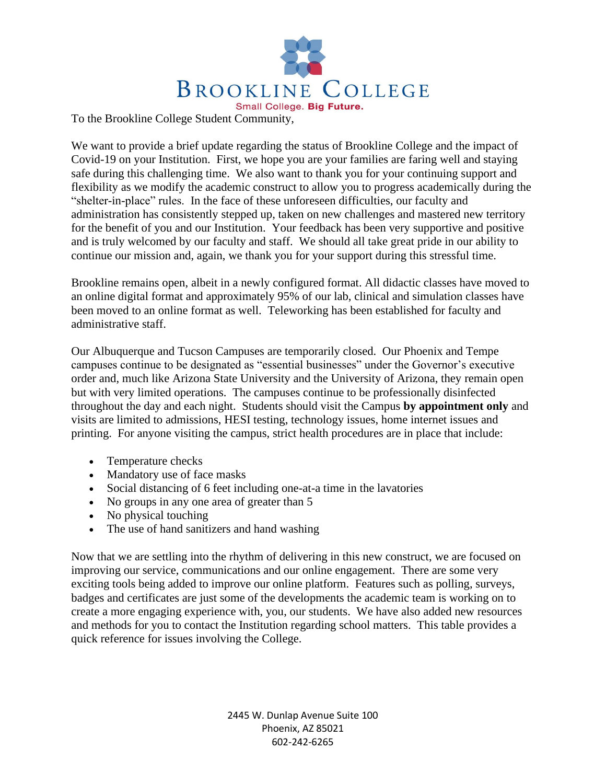

To the Brookline College Student Community,

We want to provide a brief update regarding the status of Brookline College and the impact of Covid-19 on your Institution. First, we hope you are your families are faring well and staying safe during this challenging time. We also want to thank you for your continuing support and flexibility as we modify the academic construct to allow you to progress academically during the "shelter-in-place" rules. In the face of these unforeseen difficulties, our faculty and administration has consistently stepped up, taken on new challenges and mastered new territory for the benefit of you and our Institution. Your feedback has been very supportive and positive and is truly welcomed by our faculty and staff. We should all take great pride in our ability to continue our mission and, again, we thank you for your support during this stressful time.

Brookline remains open, albeit in a newly configured format. All didactic classes have moved to an online digital format and approximately 95% of our lab, clinical and simulation classes have been moved to an online format as well. Teleworking has been established for faculty and administrative staff.

Our Albuquerque and Tucson Campuses are temporarily closed. Our Phoenix and Tempe campuses continue to be designated as "essential businesses" under the Governor's executive order and, much like Arizona State University and the University of Arizona, they remain open but with very limited operations. The campuses continue to be professionally disinfected throughout the day and each night. Students should visit the Campus **by appointment only** and visits are limited to admissions, HESI testing, technology issues, home internet issues and printing. For anyone visiting the campus, strict health procedures are in place that include:

- Temperature checks
- Mandatory use of face masks
- Social distancing of 6 feet including one-at-a time in the lavatories
- No groups in any one area of greater than 5
- No physical touching
- The use of hand sanitizers and hand washing

Now that we are settling into the rhythm of delivering in this new construct, we are focused on improving our service, communications and our online engagement. There are some very exciting tools being added to improve our online platform. Features such as polling, surveys, badges and certificates are just some of the developments the academic team is working on to create a more engaging experience with, you, our students. We have also added new resources and methods for you to contact the Institution regarding school matters. This table provides a quick reference for issues involving the College.

> 2445 W. Dunlap Avenue Suite 100 Phoenix, AZ 85021 602-242-6265